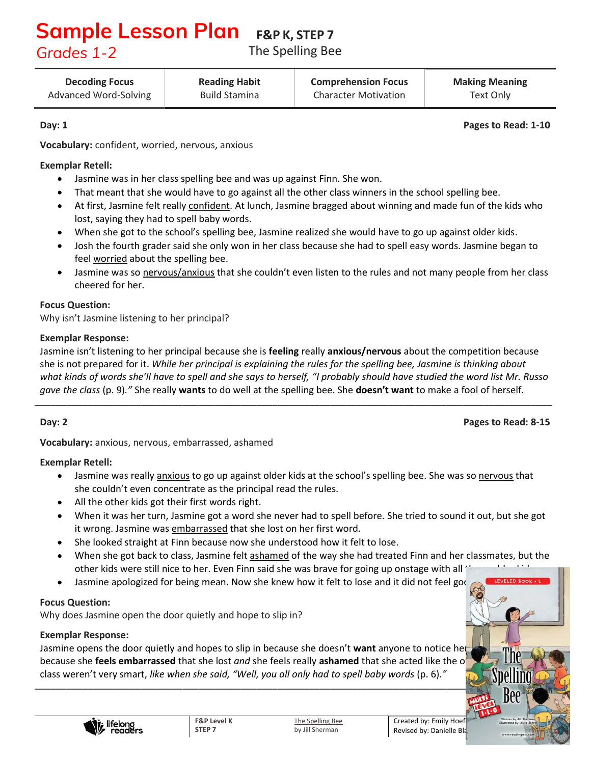### F&P K, STEP 7 **Sample Lesson Plan** *Grades 1-2*

The Spelling Bee

Decoding Focus Advanced Word-Solving Reading Habit Build Stamina

Comprehension Focus Character Motivation

Making Meaning Text Only

Day: 1 **Pages to Read: 1-10** 

Vocabulary: confident, worried, nervous, anxious

### Exemplar Retell:

- $\bullet$ Jasmine was in her class spelling bee and was up against Finn. She won.
- That meant that she would have to go against all the other class winners in the school spelling bee.
- At first, Jasmine felt really confident. At lunch, Jasmine bragged about winning and made fun of the kids who  $\bullet$ lost, saying they had to spell baby words.
- When she got to the school's spelling bee, Jasmine realized she would have to go up against older kids.  $\bullet$
- Josh the fourth grader said she only won in her class because she had to spell easy words. Jasmine began to  $\bullet$ feel worried about the spelling bee.
- Jasmine was so nervous/anxious that she couldn't even listen to the rules and not many people from her class  $\bullet$ cheered for her.

#### Focus Question:

Why isn't Jasmine listening to her principal?

#### Exemplar Response:

Jasmine isn't listening to her principal because she is feeling really anxious/nervous about the competition because she is not prepared for it. While her principal is explaining the rules for the spelling bee, Jasmine is thinking about what kinds of words she'll have to spell and she says to herself, "I probably should have studied the word list Mr. Russo gave the class (p. 9)." She really wants to do well at the spelling bee. She doesn't want to make a fool of herself. \_\_\_\_\_\_\_\_\_\_\_\_\_\_\_\_\_\_\_\_\_\_\_\_\_\_\_\_\_\_\_\_\_\_\_\_\_\_\_\_\_\_\_\_\_\_\_\_\_\_\_\_\_\_\_\_\_\_\_\_\_\_\_\_\_\_\_\_\_\_\_\_\_\_\_\_\_\_\_\_\_\_\_\_\_\_\_\_\_\_\_\_\_\_\_\_\_\_

Day: 2 **Pages to Read: 8-15** 

LEVELED BOOK # 1

Vocabulary: anxious, nervous, embarrassed, ashamed

#### Exemplar Retell:

- $\bullet$ Jasmine was really anxious to go up against older kids at the school's spelling bee. She was so nervous that she couldn't even concentrate as the principal read the rules.
- All the other kids got their first words right.
- When it was her turn, Jasmine got a word she never had to spell before. She tried to sound it out, but she got  $\bullet$ it wrong. Jasmine was embarrassed that she lost on her first word.
- She looked straight at Finn because now she understood how it felt to lose.
- $\bullet$ When she got back to class, Jasmine felt ashamed of the way she had treated Finn and her classmates, but the other kids were still nice to her. Even Finn said she was brave for going up onstage with all  $\pm$
- $\bullet$ Jasmine apologized for being mean. Now she knew how it felt to lose and it did not feel good.

#### Focus Question:

Why does Jasmine open the door quietly and hope to slip in?

## Exemplar Response:

Jasmine opens the door quietly and hopes to slip in because she doesn't want anyone to notice her because she **feels embarrassed** that she lost *and* she feels really **ashamed** that she acted like the o class weren't very smart, like when she said, "Well, you all only had to spell baby words (p. 6)." \_\_\_\_\_\_\_\_\_\_\_\_\_\_\_\_\_\_\_\_\_\_\_\_\_\_\_\_\_\_\_\_\_\_\_\_\_\_\_\_\_\_\_\_\_\_\_\_\_\_\_\_\_\_\_\_\_\_\_\_\_\_\_\_\_\_\_\_\_\_\_\_\_\_\_\_\_\_\_\_\_\_\_\_\_\_\_\_\_\_\_\_\_\_\_\_\_\_

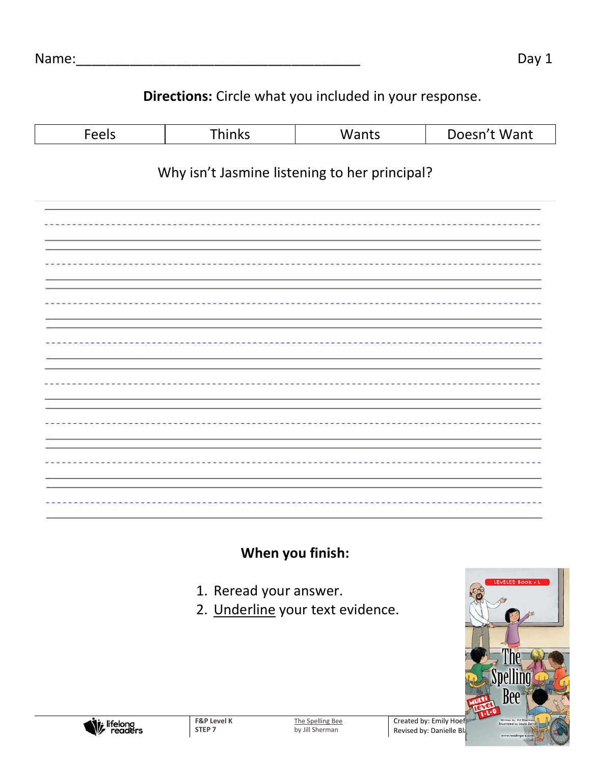## Directions: Circle what you included in your response.

| Feels                                         | Thinks | Wants | Doesn't Want |  |
|-----------------------------------------------|--------|-------|--------------|--|
| Why isn't Jasmine listening to her principal? |        |       |              |  |
|                                               |        |       |              |  |
|                                               |        |       |              |  |
|                                               |        |       |              |  |
|                                               |        |       |              |  |
|                                               |        |       |              |  |
|                                               |        |       |              |  |
|                                               |        |       |              |  |
|                                               |        |       |              |  |

When you finish:

- 1. Reread your answer.
- 2. Underline your text evidence.